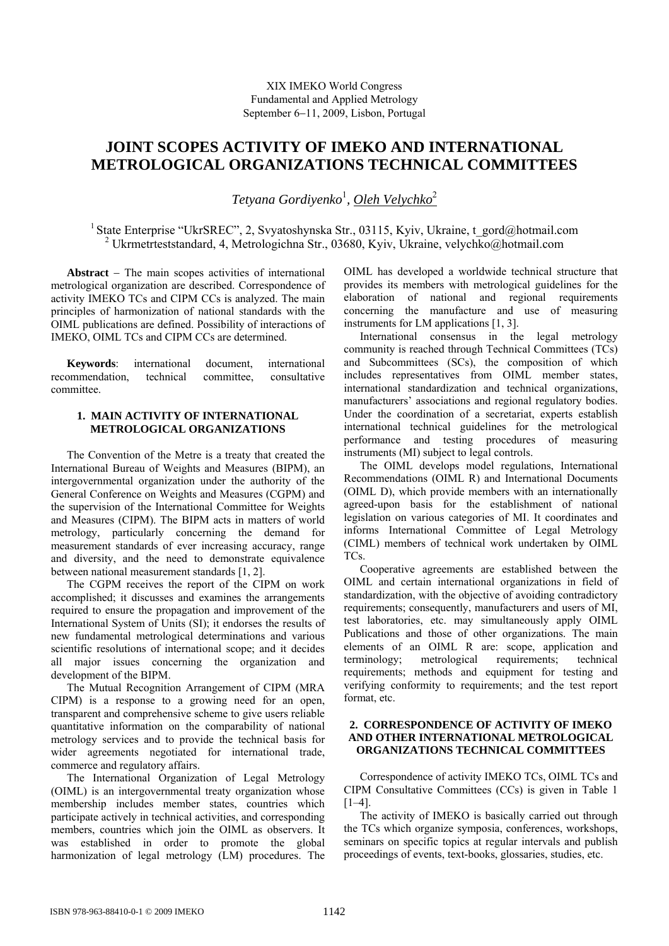# **JOINT SCOPES ACTIVITY OF IMEKO AND INTERNATIONAL METROLOGICAL ORGANIZATIONS TECHNICAL COMMITTEES**

 $T$ etyana Gordiyenko<sup>1</sup>, <u>Oleh Velychko</u><sup>2</sup>

<sup>1</sup> State Enterprise "UkrSREC", 2, Svyatoshynska Str., 03115, Kyiv, Ukraine, t\_gord@hotmail.com 2 Ukrmetrteststandard, 4, Metrologichna Str., 03680, Kyiv, Ukraine, velychko@hotmail.com

**Abstract** − The main scopes activities of international metrological organization are described. Correspondence of activity IMEKO TCs and CIPM CCs is analyzed. The main principles of harmonization of national standards with the OIML publications are defined. Possibility of interactions of ІМЕКО, OIML TCs and CIPM CCs are determined.

**Keywords**: international document, international recommendation technical committee consultative committee.

# **1. MAIN ACTIVITY OF INTERNATIONAL METROLOGICAL ORGANIZATIONS**

The Convention of the Metre is a treaty that created the International Bureau of Weights and Measures (BIPM), an intergovernmental organization under the authority of the General Conference on Weights and Measures (CGPM) and the supervision of the International Committee for Weights and Measures (CIPM). The BIPM acts in matters of world metrology, particularly concerning the demand for measurement standards of ever increasing accuracy, range and diversity, and the need to demonstrate equivalence between national measurement standards [1, 2].

The CGPM receives the report of the CIPM on work accomplished; it discusses and examines the arrangements required to ensure the propagation and improvement of the International System of Units (SI); it endorses the results of new fundamental metrological determinations and various scientific resolutions of international scope; and it decides all major issues concerning the organization and development of the BIPM.

The Mutual Recognition Arrangement of CIPM (MRA CIPM) is a response to a growing need for an open, transparent and comprehensive scheme to give users reliable quantitative information on the comparability of national metrology services and to provide the technical basis for wider agreements negotiated for international trade, commerce and regulatory affairs.

The International Organization of Legal Metrology (OIML) is an intergovernmental treaty organization whose membership includes member states, countries which participate actively in technical activities, and corresponding members, countries which join the OIML as observers. It was established in order to promote the global harmonization of legal metrology (LM) procedures. The

OIML has developed a worldwide technical structure that provides its members with metrological guidelines for the elaboration of national and regional requirements concerning the manufacture and use of measuring instruments for LM applications [1, 3].

International consensus in the legal metrology community is reached through Technical Committees (TCs) and Subcommittees (SCs), the composition of which includes representatives from OIML member states, international standardization and technical organizations, manufacturers' associations and regional regulatory bodies. Under the coordination of a secretariat, experts establish international technical guidelines for the metrological performance and testing procedures of measuring instruments (MI) subject to legal controls.

The OIML develops model regulations, International Recommendations (OIML R) and International Documents (OIML D), which provide members with an internationally agreed-upon basis for the establishment of national legislation on various categories of MI. It coordinates and informs International Committee of Legal Metrology (CIML) members of technical work undertaken by OIML TCs.

Cooperative agreements are established between the OIML and certain international organizations in field of standardization, with the objective of avoiding contradictory requirements; consequently, manufacturers and users of MI, test laboratories, etc. may simultaneously apply OIML Publications and those of other organizations. The main elements of an OIML R are: scope, application and terminology; metrological requirements; technical requirements; methods and equipment for testing and verifying conformity to requirements; and the test report format, etc.

## **2. CORRESPONDENCE OF ACTIVITY OF IMEKO AND OTHER INTERNATIONAL METROLOGICAL ORGANIZATIONS TECHNICAL COMMITTEES**

Correspondence of activity IMEKO TCs, OIML TCs and CIPM Consultative Committees (CCs) is given in Table 1  $[1-4]$ .

The activity of IMEKO is basically carried out through the TCs which organize symposia, conferences, workshops, seminars on specific topics at regular intervals and publish proceedings of events, text-books, glossaries, studies, etc.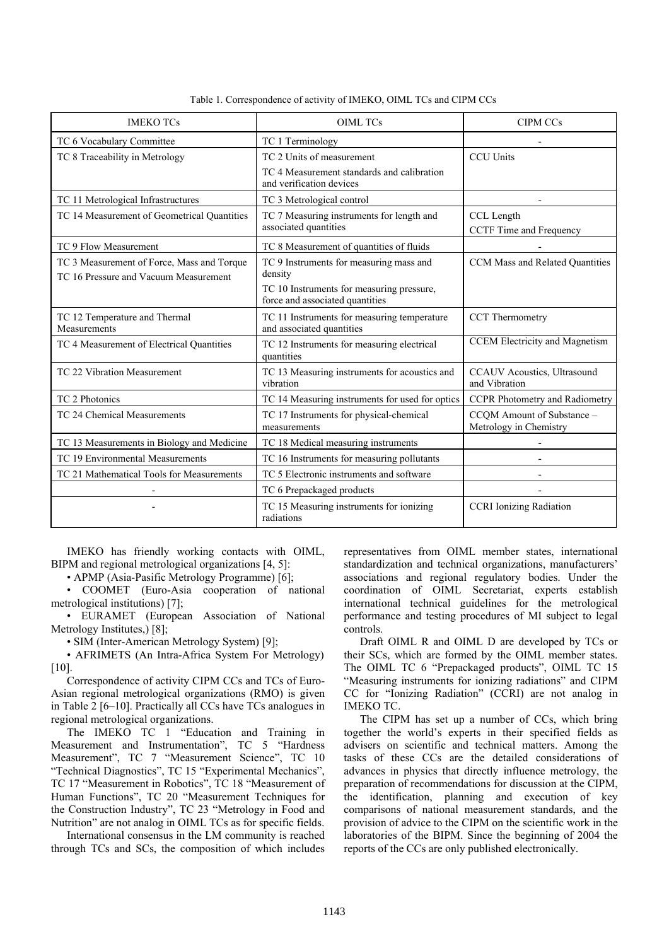| <b>IMEKO TCs</b>                                                                    | <b>OIML TCs</b>                                                              | <b>CIPM CCs</b>                                      |
|-------------------------------------------------------------------------------------|------------------------------------------------------------------------------|------------------------------------------------------|
| TC 6 Vocabulary Committee                                                           | TC 1 Terminology                                                             |                                                      |
| TC 8 Traceability in Metrology                                                      | TC 2 Units of measurement                                                    | <b>CCU Units</b>                                     |
|                                                                                     | TC 4 Measurement standards and calibration<br>and verification devices       |                                                      |
| TC 11 Metrological Infrastructures                                                  | TC 3 Metrological control                                                    |                                                      |
| TC 14 Measurement of Geometrical Quantities                                         | TC 7 Measuring instruments for length and<br>associated quantities           | CCL Length<br>CCTF Time and Frequency                |
| TC 9 Flow Measurement                                                               | TC 8 Measurement of quantities of fluids                                     |                                                      |
| TC 3 Measurement of Force, Mass and Torque<br>TC 16 Pressure and Vacuum Measurement | TC 9 Instruments for measuring mass and<br>density                           | CCM Mass and Related Quantities                      |
|                                                                                     | TC 10 Instruments for measuring pressure,<br>force and associated quantities |                                                      |
| TC 12 Temperature and Thermal<br>Measurements                                       | TC 11 Instruments for measuring temperature<br>and associated quantities     | <b>CCT</b> Thermometry                               |
| TC 4 Measurement of Electrical Quantities                                           | TC 12 Instruments for measuring electrical<br>quantities                     | <b>CCEM Electricity and Magnetism</b>                |
| TC 22 Vibration Measurement                                                         | TC 13 Measuring instruments for acoustics and<br>vibration                   | <b>CCAUV</b> Acoustics, Ultrasound<br>and Vibration  |
| TC 2 Photonics                                                                      | TC 14 Measuring instruments for used for optics                              | <b>CCPR Photometry and Radiometry</b>                |
| TC 24 Chemical Measurements                                                         | TC 17 Instruments for physical-chemical<br>measurements                      | CCQM Amount of Substance -<br>Metrology in Chemistry |
| TC 13 Measurements in Biology and Medicine                                          | TC 18 Medical measuring instruments                                          |                                                      |
| TC 19 Environmental Measurements                                                    | TC 16 Instruments for measuring pollutants                                   |                                                      |
| TC 21 Mathematical Tools for Measurements                                           | TC 5 Electronic instruments and software                                     |                                                      |
|                                                                                     | TC 6 Prepackaged products                                                    |                                                      |
|                                                                                     | TC 15 Measuring instruments for ionizing<br>radiations                       | <b>CCRI</b> Ionizing Radiation                       |

Table 1. Correspondence of activity of IMEKO, OIML TCs and CIPM CCs

IMEKO has friendly working contacts with OIML, BIPM and regional metrological organizations [4, 5]:

• APMP (Asia-Pasific Metrology Programme) [6];

• COOMET (Euro-Asia cooperation of national metrological institutions) [7];

• EURAMET (European Association of National Metrology Institutes,) [8];

• SIM (Inter-American Metrology System) [9];

• AFRIMETS (An Intra-Africa System For Metrology) [10].

Correspondence of activity CIPM CCs and TCs of Euro-Asian regional metrological organizations (RMO) is given in Table 2 [6–10]. Practically all CCs have TCs analogues in regional metrological organizations.

The IMEKO TC 1 "Education and Training in Measurement and Instrumentation", TC 5 "Hardness Measurement", TC 7 "Measurement Science", TC 10 "Technical Diagnostics", TC 15 "Experimental Mechanics", TC 17 "Measurement in Robotics", TC 18 "Measurement of Human Functions", TC 20 "Measurement Techniques for the Construction Industry", TC 23 "Metrology in Food and Nutrition" are not analog in OIML TCs as for specific fields.

International consensus in the LM community is reached through TCs and SCs, the composition of which includes representatives from OIML member states, international standardization and technical organizations, manufacturers' associations and regional regulatory bodies. Under the coordination of OIML Secretariat, experts establish international technical guidelines for the metrological performance and testing procedures of MI subject to legal controls.

Draft OIML R and OIML D are developed by TCs or their SCs, which are formed by the OIML member states. The OIML TC 6 "Prepackaged products", OIML TC 15 "Measuring instruments for ionizing radiations" and CIPM CC for "Ionizing Radiation" (CCRI) are not analog in IMEKO TC.

The CIPM has set up a number of CCs, which bring together the world's experts in their specified fields as advisers on scientific and technical matters. Among the tasks of these CCs are the detailed considerations of advances in physics that directly influence metrology, the preparation of recommendations for discussion at the CIPM, the identification, planning and execution of key comparisons of national measurement standards, and the provision of advice to the CIPM on the scientific work in the laboratories of the BIPM. Since the beginning of 2004 the reports of the CCs are only published electronically.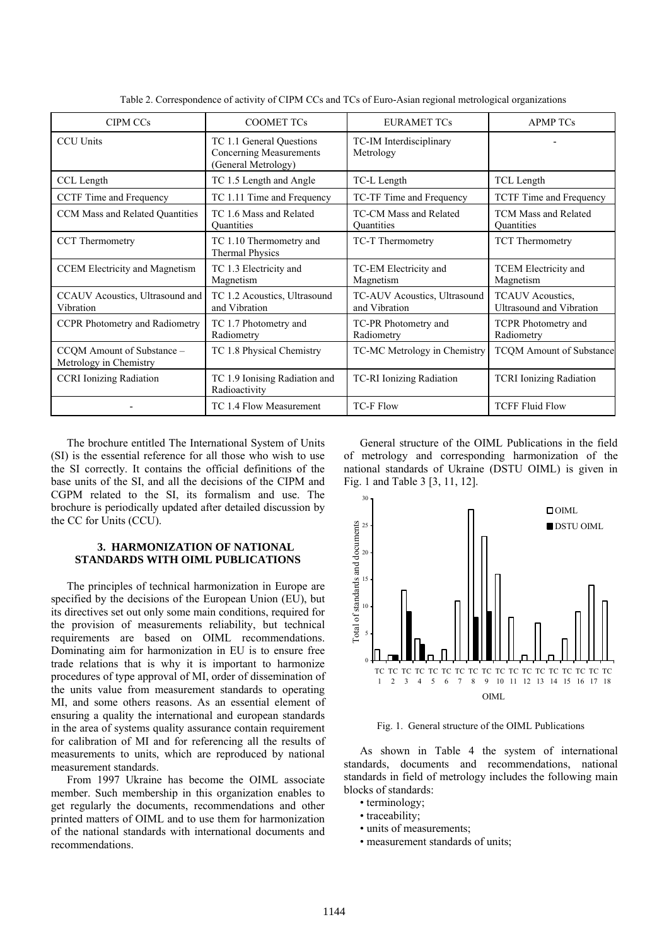| <b>COOMET TCs</b>                                                                 | <b>EURAMET TCs</b>                            | <b>APMP TCs</b>                                            |
|-----------------------------------------------------------------------------------|-----------------------------------------------|------------------------------------------------------------|
| TC 1.1 General Questions<br><b>Concerning Measurements</b><br>(General Metrology) | TC-IM Interdisciplinary<br>Metrology          |                                                            |
| TC 1.5 Length and Angle                                                           | TC-L Length                                   | TCL Length                                                 |
| TC 1.11 Time and Frequency                                                        | TC-TF Time and Frequency                      | <b>TCTF</b> Time and Frequency                             |
| TC 1.6 Mass and Related<br><b>Quantities</b>                                      | TC-CM Mass and Related<br><b>Quantities</b>   | <b>TCM Mass and Related</b><br><b>Quantities</b>           |
| TC 1.10 Thermometry and<br><b>Thermal Physics</b>                                 | TC-T Thermometry                              | <b>TCT</b> Thermometry                                     |
| TC 1.3 Electricity and<br>Magnetism                                               | TC-EM Electricity and<br>Magnetism            | <b>TCEM Electricity and</b><br>Magnetism                   |
| TC 1.2 Acoustics, Ultrasound<br>and Vibration                                     | TC-AUV Acoustics, Ultrasound<br>and Vibration | <b>TCAUV</b> Acoustics,<br><b>Ultrasound and Vibration</b> |
| TC 1.7 Photometry and<br>Radiometry                                               | TC-PR Photometry and<br>Radiometry            | <b>TCPR</b> Photometry and<br>Radiometry                   |
| TC 1.8 Physical Chemistry                                                         | TC-MC Metrology in Chemistry                  | <b>TCQM</b> Amount of Substance                            |
| TC 1.9 Ionising Radiation and<br>Radioactivity                                    | TC-RI Ionizing Radiation                      | <b>TCRI</b> Ionizing Radiation                             |
| TC 1.4 Flow Measurement                                                           | <b>TC-F Flow</b>                              | <b>TCFF Fluid Flow</b>                                     |
|                                                                                   |                                               |                                                            |

Table 2. Correspondence of activity of CIPM CCs and TCs of Euro-Asian regional metrological organizations

The brochure entitled The International System of Units (SI) is the essential reference for all those who wish to use the SI correctly. It contains the official definitions of the base units of the SI, and all the decisions of the CIPM and CGPM related to the SI, its formalism and use. The brochure is periodically updated after detailed discussion by the CC for Units (CCU).

## **3. HARMONIZATION OF NATIONAL STANDARDS WITH OIML PUBLICATIONS**

The principles of technical harmonization in Europe are specified by the decisions of the European Union (EU), but its directives set out only some main conditions, required for the provision of measurements reliability, but technical requirements are based on OIML recommendations. Dominating aim for harmonization in EU is to ensure free trade relations that is why it is important to harmonize procedures of type approval of MI, order of dissemination of the units value from measurement standards to operating MI, and some others reasons. As an essential element of ensuring a quality the international and european standards in the area of systems quality assurance contain requirement for calibration of MI and for referencing all the results of measurements to units, which are reproduced by national measurement standards.

From 1997 Ukraine has become the OIML associate member. Such membership in this organization enables to get regularly the documents, recommendations and other printed matters of OIML and to use them for harmonization of the national standards with international documents and recommendations.

General structure of the OIML Publications in the field of metrology and corresponding harmonization of the national standards of Ukraine (DSTU OIML) is given in Fig. 1 and Table 3 [3, 11, 12].



Fig. 1. General structure of the OIML Publications

As shown in Table 4 the system of international standards, documents and recommendations, national standards in field of metrology includes the following main blocks of standards:

- terminology;
- traceability;
- units of measurements;
- measurement standards of units;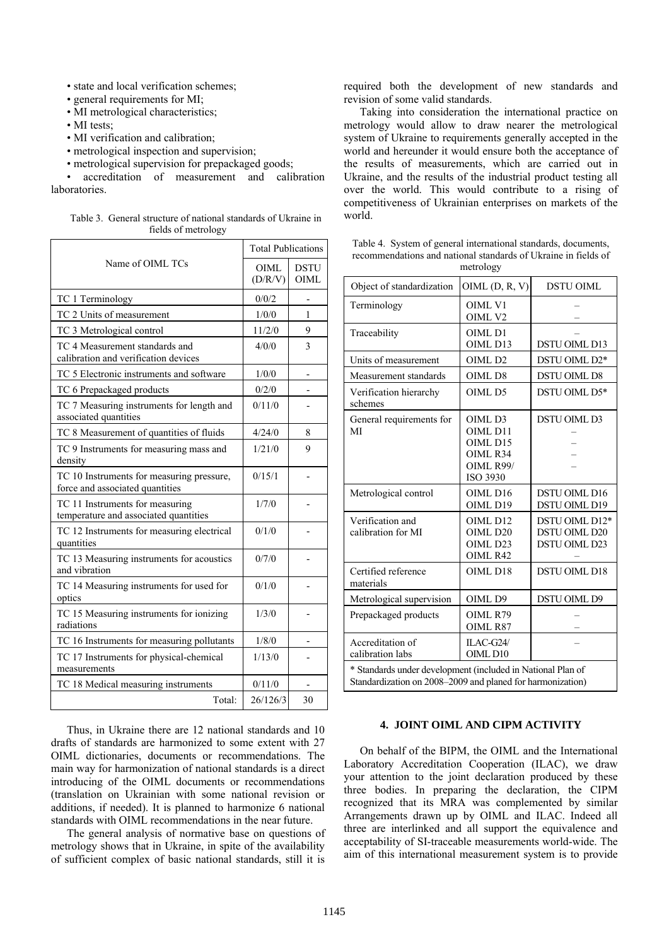- state and local verification schemes;
- general requirements for MI;
- MI metrological characteristics;

• MI tests;

- MI verification and calibration;
- metrological inspection and supervision;
- metrological supervision for prepackaged goods;

• accreditation of measurement and calibration laboratories.

|                     | Table 3. General structure of national standards of Ukraine in |  |  |
|---------------------|----------------------------------------------------------------|--|--|
| fields of metrology |                                                                |  |  |

|                                                                              | <b>Total Publications</b> |                     |
|------------------------------------------------------------------------------|---------------------------|---------------------|
| Name of OIML TCs                                                             | OIML.<br>(D/R/V)          | <b>DSTU</b><br>OIML |
| TC 1 Terminology                                                             | 0/0/2                     |                     |
| TC 2 Units of measurement                                                    | 1/0/0                     | 1                   |
| TC 3 Metrological control                                                    | 11/2/0                    | 9                   |
| TC 4 Measurement standards and<br>calibration and verification devices       | 4/0/0                     | 3                   |
| TC 5 Electronic instruments and software                                     | 1/0/0                     |                     |
| TC 6 Prepackaged products                                                    | 0/2/0                     |                     |
| TC 7 Measuring instruments for length and<br>associated quantities           | 0/11/0                    |                     |
| TC 8 Measurement of quantities of fluids                                     | 4/24/0                    | 8                   |
| TC 9 Instruments for measuring mass and<br>density                           | 1/21/0                    | 9                   |
| TC 10 Instruments for measuring pressure,<br>force and associated quantities | 0/15/1                    |                     |
| TC 11 Instruments for measuring<br>temperature and associated quantities     | 1/7/0                     |                     |
| TC 12 Instruments for measuring electrical<br>quantities                     | 0/1/0                     |                     |
| TC 13 Measuring instruments for acoustics<br>and vibration                   | 0/7/0                     |                     |
| TC 14 Measuring instruments for used for<br>optics                           | 0/1/0                     |                     |
| TC 15 Measuring instruments for ionizing<br>radiations                       | 1/3/0                     |                     |
| TC 16 Instruments for measuring pollutants                                   | 1/8/0                     |                     |
| TC 17 Instruments for physical-chemical<br>measurements                      | 1/13/0                    |                     |
| TC 18 Medical measuring instruments                                          | 0/11/0                    |                     |
| Total:                                                                       | 26/126/3                  | 30                  |

Thus, in Ukraine there are 12 national standards and 10 drafts of standards are harmonized to some extent with 27 OIML dictionaries, documents or recommendations. The main way for harmonization of national standards is a direct introducing of the OIML documents or recommendations (translation on Ukrainian with some national revision or additions, if needed). It is planned to harmonize 6 national standards with OIML recommendations in the near future.

The general analysis of normative base on questions of metrology shows that in Ukraine, in spite of the availability of sufficient complex of basic national standards, still it is

required both the development of new standards and revision of some valid standards.

Taking into consideration the international practice on metrology would allow to draw nearer the metrological system of Ukraine to requirements generally accepted in the world and hereunder it would ensure both the acceptance of the results of measurements, which are carried out in Ukraine, and the results of the industrial product testing all over the world. This would contribute to a rising of competitiveness of Ukrainian enterprises on markets of the world.

| Table 4. System of general international standards, documents, |  |  |  |  |
|----------------------------------------------------------------|--|--|--|--|
| recommendations and national standards of Ukraine in fields of |  |  |  |  |
| metrology                                                      |  |  |  |  |

| Object of standardization                                                                                                 | $OIML$ $(D, R, V)$                                                          | <b>DSTU OIML</b>                                               |  |  |
|---------------------------------------------------------------------------------------------------------------------------|-----------------------------------------------------------------------------|----------------------------------------------------------------|--|--|
| Terminology                                                                                                               | OIML V1<br>OIML V2                                                          |                                                                |  |  |
| Traceability                                                                                                              | OIML <sub>D1</sub><br>OIML D13                                              | <b>DSTU OIML D13</b>                                           |  |  |
| Units of measurement                                                                                                      | OIML <sub>D2</sub>                                                          | DSTU OIML D2*                                                  |  |  |
| Measurement standards                                                                                                     | OIML D8                                                                     | <b>DSTU OIML D8</b>                                            |  |  |
| Verification hierarchy<br>schemes                                                                                         | OIML D5                                                                     | DSTU OIML D5*                                                  |  |  |
| General requirements for<br>MI                                                                                            | OIML D3<br>OIML D11<br>OIML D15<br>OIML R34<br>OIML R99/<br><b>ISO 3930</b> | <b>DSTU OIML D3</b>                                            |  |  |
| Metrological control                                                                                                      | OIML D16<br>OIML D19                                                        | <b>DSTU OIML D16</b><br>DSTU OIML D19                          |  |  |
| Verification and<br>calibration for MI                                                                                    | OIML D12<br>OIML D <sub>20</sub><br>OIML D23<br>OIML R42                    | DSTU OIML D12*<br><b>DSTU OIML D20</b><br><b>DSTU OIML D23</b> |  |  |
| Certified reference<br>materials                                                                                          | OIML D18                                                                    | <b>DSTU OIML D18</b>                                           |  |  |
| Metrological supervision                                                                                                  | OIML D9                                                                     | DSTU OIML D9                                                   |  |  |
| Prepackaged products                                                                                                      | OIML R79<br>OIML R87                                                        |                                                                |  |  |
| Accreditation of<br>calibration labs                                                                                      | ILAC-G24/<br>OIML D10                                                       |                                                                |  |  |
| * Standards under development (included in National Plan of<br>Standardization on 2008-2009 and planed for harmonization) |                                                                             |                                                                |  |  |

#### **4. JOINT OIML AND CIPM ACTIVITY**

On behalf of the BIPM, the OIML and the International Laboratory Accreditation Cooperation (ILAC), we draw your attention to the joint declaration produced by these three bodies. In preparing the declaration, the CIPM recognized that its MRA was complemented by similar Arrangements drawn up by OIML and ILAC. Indeed all three are interlinked and all support the equivalence and acceptability of SI-traceable measurements world-wide. The aim of this international measurement system is to provide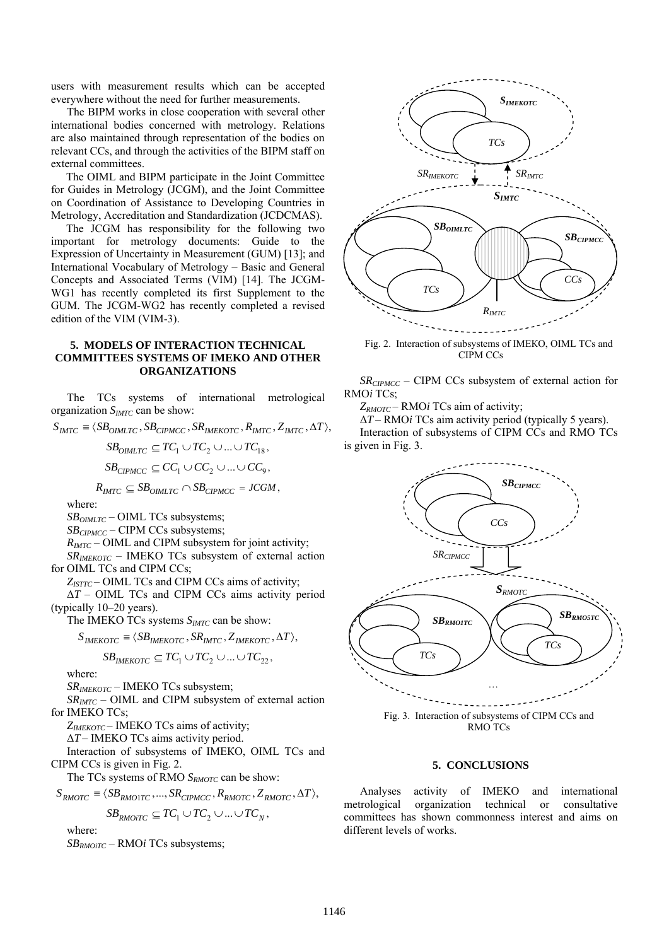users with measurement results which can be accepted everywhere without the need for further measurements.

The BIPM works in close cooperation with several other international bodies concerned with metrology. Relations are also maintained through representation of the bodies on relevant CCs, and through the activities of the BIPM staff on external committees.

The OIML and BIPM participate in the Joint Committee for Guides in Metrology (JCGM), and the Joint Committee on Coordination of Assistance to Developing Countries in Metrology, Accreditation and Standardization (JCDCMAS).

The JCGM has responsibility for the following two important for metrology documents: Guide to the Expression of Uncertainty in Measurement (GUM) [13]; and International Vocabulary of Metrology – Basic and General Concepts and Associated Terms (VIM) [14]. The JCGM-WG1 has recently completed its first Supplement to the GUM. The JCGM-WG2 has recently completed a revised edition of the VIM (VIM-3).

## **5. MODELS OF INTERACTION TECHNICAL COMMITTEES SYSTEMS OF IMEKO AND OTHER ORGANIZATIONS**

The TCs systems of international metrological organization *SIMTC* can be show:

 $S_{\text{IMTC}} \equiv \langle SB_{\text{OMLTC}}$ ,  $SB_{\text{CIPMCC}}$ ,  $SR_{\text{IMEKOTC}}$ ,  $R_{\text{IMTC}}$ ,  $Z_{\text{IMTC}}$ ,  $\Delta T$ ),

 $SB_{OMITC} \subseteq TC_1 \cup TC_2 \cup ... \cup TC_{18}$  $SB_{CPMCC} \subseteq CC_1 \cup CC_2 \cup ... \cup CC_q$ 

 $R_{MTC} \subseteq SB_{OIMITC} \cap SB_{CPMCC} = JCGM$ ,

where:

*SB<sub>OIMLTC</sub>* – OIML TCs subsystems;

*SB<sub>CIPMCC</sub>* – CIPM CCs subsystems;

*RIMTC* – OIML and CIPM subsystem for joint activity;

*SRIMEKOTC* – IMEKO TCs subsystem of external action for OIML TCs and CIPM CCs;

Z<sub>ISTTC</sub> – OIML TCs and CIPM CCs aims of activity;

Δ*T* – OIML TCs and CIPM CCs aims activity period (typically 10–20 years).

The IMEKO TCs systems  $S<sub>IMTC</sub>$  can be show:

$$
S_{IMEKOTC} \equiv \langle SB_{IMEKOTC}, SR_{IMTC}, Z_{IMEKOTC}, \Delta T \rangle,
$$

$$
\mathit{SB}_{\mathit{IMEKOTC}} \subseteq TC_1 \cup TC_2 \cup ... \cup TC_{22},
$$

where:

*SRIMEKOTC* – ІМЕКО TCs subsystem;

 $SR<sub>IMTC</sub>$  – OIML and CIPM subsystem of external action for IMEKO TCs;

*ZIMEKOTC* – IMEKO TCs aims of activity;

Δ*T* – IMEKO TCs aims activity period.

Interaction of subsystems of ІМЕКО, OIML TCs and CIPM CCs is given in Fig. 2.

The TCs systems of RMO *S<sub>RMOTC</sub>* can be show:

 $S_{RMOTC} \equiv \langle SB_{RMO 1TC}, ..., SR_{CIPMCC}, R_{RMO TC}, Z_{RMO TC}, \Delta T \rangle$ 

$$
\mathit{SB}_{\mathit{RMOITC}} \subseteq TC_1 \cup TC_2 \cup \ldots \cup TC_N,
$$

where:

*SBRMOiTC* – RMO*i* TCs subsystems;



Fig. 2. Interaction of subsystems of ІМЕКО, OIML TCs and CIPM CCs

*SRCIPMCC* – CIPM CCs subsystem of external action for RMO*i* TCs;

*ZRMOTC* – RMO*i* TCs aim of activity;

Δ*T* – RMO*i* TCs aim activity period (typically 5 years). Interaction of subsystems of CIPM CCs and RMO TCs is given in Fig. 3.



RMO TCs

## **5. CONCLUSIONS**

Analyses activity of IMEKO and international metrological organization technical or consultative committees has shown commonness interest and aims on different levels of works.